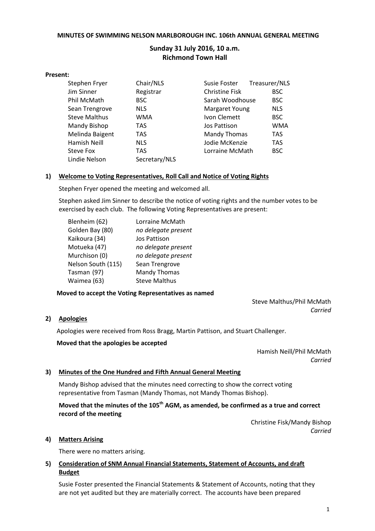#### **MINUTES OF SWIMMING NELSON MARLBOROUGH INC. 106th ANNUAL GENERAL MEETING**

# **Sunday 31 July 2016, 10 a.m. Richmond Town Hall**

#### **Present:**

| Stephen Fryer        | Chair/NLS     | Susie Foster               | Treasurer/NLS |
|----------------------|---------------|----------------------------|---------------|
| Jim Sinner           | Registrar     | <b>Christine Fisk</b>      | <b>BSC</b>    |
| Phil McMath          | <b>BSC</b>    | Sarah Woodhouse            | <b>BSC</b>    |
| Sean Trengrove       | <b>NLS</b>    | <b>Margaret Young</b>      | <b>NLS</b>    |
| <b>Steve Malthus</b> | WMA           | Ivon Clemett               | <b>BSC</b>    |
| Mandy Bishop         | <b>TAS</b>    | <b>WMA</b><br>Jos Pattison |               |
| Melinda Baigent      | <b>TAS</b>    | <b>Mandy Thomas</b><br>TAS |               |
| Hamish Neill         | <b>NLS</b>    | Jodie McKenzie             | <b>TAS</b>    |
| <b>Steve Fox</b>     | TAS           | Lorraine McMath            | <b>BSC</b>    |
| Lindie Nelson        | Secretary/NLS |                            |               |

### **1) Welcome to Voting Representatives, Roll Call and Notice of Voting Rights**

Stephen Fryer opened the meeting and welcomed all.

Stephen asked Jim Sinner to describe the notice of voting rights and the number votes to be exercised by each club. The following Voting Representatives are present:

| Blenheim (62)      | Lorraine McMath      |
|--------------------|----------------------|
| Golden Bay (80)    | no delegate present  |
| Kaikoura (34)      | Jos Pattison         |
| Motueka (47)       | no delegate present  |
| Murchison (0)      | no delegate present  |
| Nelson South (115) | Sean Trengrove       |
| Tasman (97)        | <b>Mandy Thomas</b>  |
| Waimea (63)        | <b>Steve Malthus</b> |

### **Moved to accept the Voting Representatives as named**

Steve Malthus/Phil McMath *Carried*

### **2) Apologies**

Apologies were received from Ross Bragg, Martin Pattison, and Stuart Challenger.

#### **Moved that the apologies be accepted**

Hamish Neill/Phil McMath *Carried*

### **3) Minutes of the One Hundred and Fifth Annual General Meeting**

Mandy Bishop advised that the minutes need correcting to show the correct voting representative from Tasman (Mandy Thomas, not Mandy Thomas Bishop).

## **Moved that the minutes of the 105 th AGM, as amended, be confirmed as a true and correct record of the meeting**

Christine Fisk/Mandy Bishop *Carried*

### **4) Matters Arising**

There were no matters arising.

## **5) Consideration of SNM Annual Financial Statements, Statement of Accounts, and draft Budget**

Susie Foster presented the Financial Statements & Statement of Accounts, noting that they are not yet audited but they are materially correct. The accounts have been prepared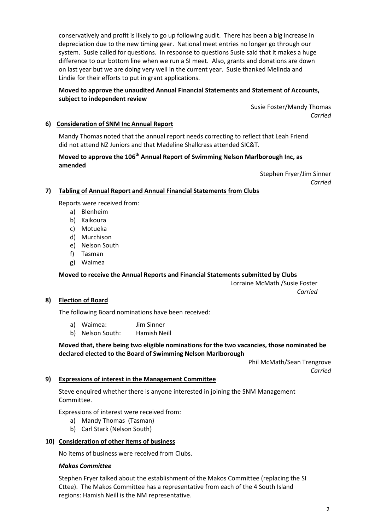conservatively and profit is likely to go up following audit. There has been a big increase in depreciation due to the new timing gear. National meet entries no longer go through our system. Susie called for questions. In response to questions Susie said that it makes a huge difference to our bottom line when we run a SI meet. Also, grants and donations are down on last year but we are doing very well in the current year. Susie thanked Melinda and Lindie for their efforts to put in grant applications.

## **Moved to approve the unaudited Annual Financial Statements and Statement of Accounts, subject to independent review**

Susie Foster/Mandy Thomas *Carried*

## **6) Consideration of SNM Inc Annual Report**

Mandy Thomas noted that the annual report needs correcting to reflect that Leah Friend did not attend NZ Juniors and that Madeline Shallcrass attended SIC&T.

## **Moved to approve the 106th Annual Report of Swimming Nelson Marlborough Inc, as amended**

Stephen Fryer/Jim Sinner *Carried*

## **7) Tabling of Annual Report and Annual Financial Statements from Clubs**

Reports were received from:

- a) Blenheim
- b) Kaikoura
- c) Motueka
- d) Murchison
- e) Nelson South
- f) Tasman
- g) Waimea

### **Moved to receive the Annual Reports and Financial Statements submitted by Clubs**

Lorraine McMath /Susie Foster *Carried*

### **8) Election of Board**

The following Board nominations have been received:

- a) Waimea: Jim Sinner
- b) Nelson South: Hamish Neill

### **Moved that, there being two eligible nominations for the two vacancies, those nominated be declared elected to the Board of Swimming Nelson Marlborough**

Phil McMath/Sean Trengrove *Carried*

### **9) Expressions of interest in the Management Committee**

Steve enquired whether there is anyone interested in joining the SNM Management Committee.

Expressions of interest were received from:

- a) Mandy Thomas (Tasman)
- b) Carl Stark (Nelson South)

### **10) Consideration of other items of business**

No items of business were received from Clubs.

### *Makos Committee*

Stephen Fryer talked about the establishment of the Makos Committee (replacing the SI Cttee). The Makos Committee has a representative from each of the 4 South Island regions: Hamish Neill is the NM representative.